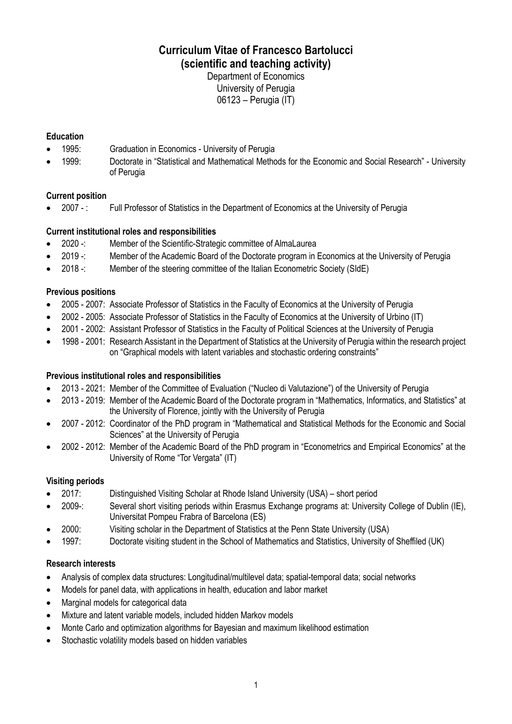# **Curriculum Vitae of Francesco Bartolucci (scientific and teaching activity)**

Department of Economics University of Perugia 06123 – Perugia (IT)

# **Education**

- 1995: Graduation in Economics University of Perugia
- 1999: Doctorate in "Statistical and Mathematical Methods for the Economic and Social Research" University of Perugia

# **Current position**

• 2007 - : Full Professor of Statistics in the Department of Economics at the University of Perugia

# **Current institutional roles and responsibilities**

- 2020 -: Member of the Scientific-Strategic committee of AlmaLaurea
- 2019 -: Member of the Academic Board of the Doctorate program in Economics at the University of Perugia
- 2018 -: Member of the steering committee of the Italian Econometric Society (SIdE)

# **Previous positions**

- 2005 2007: Associate Professor of Statistics in the Faculty of Economics at the University of Perugia
- 2002 2005: Associate Professor of Statistics in the Faculty of Economics at the University of Urbino (IT)
- 2001 2002: Assistant Professor of Statistics in the Faculty of Political Sciences at the University of Perugia
- 1998 2001: Research Assistant in the Department of Statistics at the University of Perugia within the research project on "Graphical models with latent variables and stochastic ordering constraints"

# **Previous institutional roles and responsibilities**

- 2013 2021: Member of the Committee of Evaluation ("Nucleo di Valutazione") of the University of Perugia
- 2013 2019: Member of the Academic Board of the Doctorate program in "Mathematics, Informatics, and Statistics" at the University of Florence, jointly with the University of Perugia
- 2007 2012: Coordinator of the PhD program in "Mathematical and Statistical Methods for the Economic and Social Sciences" at the University of Perugia
- 2002 2012: Member of the Academic Board of the PhD program in "Econometrics and Empirical Economics" at the University of Rome "Tor Vergata" (IT)

# **Visiting periods**

- 2017: Distinguished Visiting Scholar at Rhode Island University (USA) short period
- 2009-: Several short visiting periods within Erasmus Exchange programs at: University College of Dublin (IE), Universitat Pompeu Frabra of Barcelona (ES)
- 2000: Visiting scholar in the Department of Statistics at the Penn State University (USA)
- 1997: Doctorate visiting student in the School of Mathematics and Statistics, University of Sheffiled (UK)

# **Research interests**

- Analysis of complex data structures: Longitudinal/multilevel data; spatial-temporal data; social networks
- Models for panel data, with applications in health, education and labor market
- Marginal models for categorical data
- Mixture and latent variable models, included hidden Markov models
- Monte Carlo and optimization algorithms for Bayesian and maximum likelihood estimation
- Stochastic volatility models based on hidden variables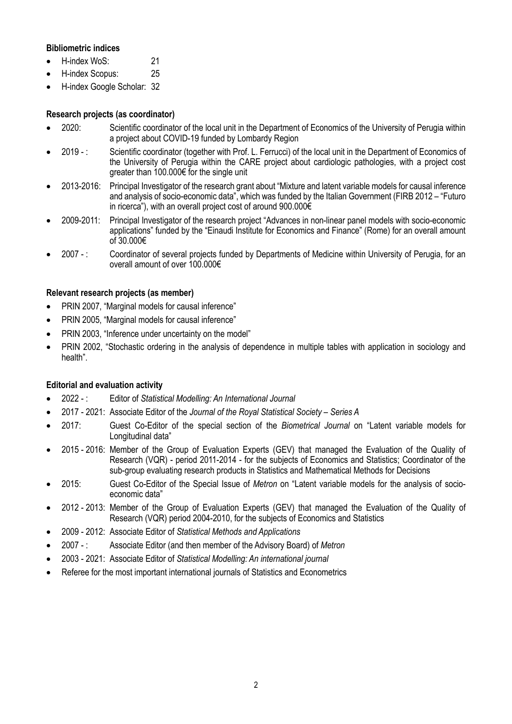# **Bibliometric indices**

- H-index WoS: 21
- H-index Scopus: 25
- H-index Google Scholar: 32

# **Research projects (as coordinator)**

- 2020: Scientific coordinator of the local unit in the Department of Economics of the University of Perugia within a project about COVID-19 funded by Lombardy Region
- 2019 : Scientific coordinator (together with Prof. L. Ferrucci) of the local unit in the Department of Economics of the University of Perugia within the CARE project about cardiologic pathologies, with a project cost greater than 100.000€ for the single unit
- 2013-2016: Principal Investigator of the research grant about "Mixture and latent variable models for causal inference and analysis of socio-economic data", which was funded by the Italian Government (FIRB 2012 – "Futuro in ricerca"), with an overall project cost of around 900.000€
- 2009-2011: Principal Investigator of the research project "Advances in non-linear panel models with socio-economic applications" funded by the "Einaudi Institute for Economics and Finance" (Rome) for an overall amount of 30.000€
- 2007 : Coordinator of several projects funded by Departments of Medicine within University of Perugia, for an overall amount of over 100.000€

# **Relevant research projects (as member)**

- PRIN 2007, "Marginal models for causal inference"
- PRIN 2005, "Marginal models for causal inference"
- PRIN 2003, "Inference under uncertainty on the model"
- PRIN 2002, "Stochastic ordering in the analysis of dependence in multiple tables with application in sociology and health".

# **Editorial and evaluation activity**

- 2022 : Editor of *Statistical Modelling: An International Journal*
- 2017 2021: Associate Editor of the *Journal of the Royal Statistical Society – Series A*
- 2017: Guest Co-Editor of the special section of the *Biometrical Journal* on "Latent variable models for Longitudinal data"
- 2015 2016: Member of the Group of Evaluation Experts (GEV) that managed the Evaluation of the Quality of Research (VQR) - period 2011-2014 - for the subjects of Economics and Statistics; Coordinator of the sub-group evaluating research products in Statistics and Mathematical Methods for Decisions
- 2015: Guest Co-Editor of the Special Issue of *Metron* on "Latent variable models for the analysis of socioeconomic data"
- 2012 2013: Member of the Group of Evaluation Experts (GEV) that managed the Evaluation of the Quality of Research (VQR) period 2004-2010, for the subjects of Economics and Statistics
- 2009 2012: Associate Editor of *Statistical Methods and Applications*
- 2007 : Associate Editor (and then member of the Advisory Board) of *Metron*
- 2003 2021: Associate Editor of *Statistical Modelling: An international journal*
- Referee for the most important international journals of Statistics and Econometrics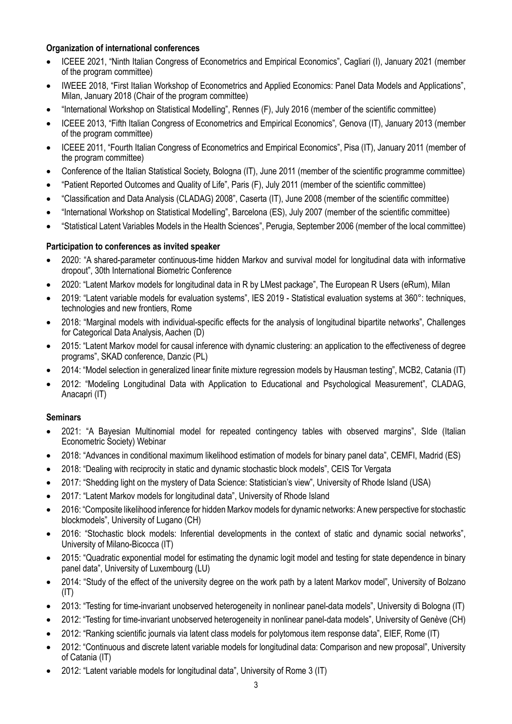# **Organization of international conferences**

- ICEEE 2021, "Ninth Italian Congress of Econometrics and Empirical Economics", Cagliari (I), January 2021 (member of the program committee)
- IWEEE 2018, "First Italian Workshop of Econometrics and Applied Economics: Panel Data Models and Applications", Milan, January 2018 (Chair of the program committee)
- "International Workshop on Statistical Modelling", Rennes (F), July 2016 (member of the scientific committee)
- ICEEE 2013, "Fifth Italian Congress of Econometrics and Empirical Economics"*,* Genova (IT), January 2013 (member of the program committee)
- ICEEE 2011, "Fourth Italian Congress of Econometrics and Empirical Economics", Pisa (IT), January 2011 (member of the program committee)
- Conference of the Italian Statistical Society, Bologna (IT), June 2011 (member of the scientific programme committee)
- "Patient Reported Outcomes and Quality of Life", Paris (F), July 2011 (member of the scientific committee)
- "Classification and Data Analysis (CLADAG) 2008", Caserta (IT), June 2008 (member of the scientific committee)
- "International Workshop on Statistical Modelling", Barcelona (ES), July 2007 (member of the scientific committee)
- "Statistical Latent Variables Models in the Health Sciences", Perugia, September 2006 (member of the local committee)

# **Participation to conferences as invited speaker**

- 2020: "A shared-parameter continuous-time hidden Markov and survival model for longitudinal data with informative dropout", 30th International Biometric Conference
- 2020: "Latent Markov models for longitudinal data in R by LMest package", The European R Users (eRum), Milan
- 2019: "Latent variable models for evaluation systems", IES 2019 Statistical evaluation systems at 360°: techniques, technologies and new frontiers, Rome
- 2018: "Marginal models with individual-specific effects for the analysis of longitudinal bipartite networks", Challenges for Categorical Data Analysis, Aachen (D)
- 2015: "Latent Markov model for causal inference with dynamic clustering: an application to the effectiveness of degree programs", SKAD conference, Danzic (PL)
- 2014: "Model selection in generalized linear finite mixture regression models by Hausman testing", MCB2, Catania (IT)
- 2012: "Modeling Longitudinal Data with Application to Educational and Psychological Measurement", CLADAG, Anacapri (IT)

# **Seminars**

- 2021: "A Bayesian Multinomial model for repeated contingency tables with observed margins", SIde (Italian Econometric Society) Webinar
- 2018: "Advances in conditional maximum likelihood estimation of models for binary panel data", CEMFI, Madrid (ES)
- 2018: "Dealing with reciprocity in static and dynamic stochastic block models", CEIS Tor Vergata
- 2017: "Shedding light on the mystery of Data Science: Statistician's view", University of Rhode Island (USA)
- 2017: "Latent Markov models for longitudinal data", University of Rhode Island
- 2016: "Composite likelihood inference for hidden Markov models for dynamic networks: Anew perspective for stochastic blockmodels", University of Lugano (CH)
- 2016: "Stochastic block models: Inferential developments in the context of static and dynamic social networks", University of Milano-Bicocca (IT)
- 2015: "Quadratic exponential model for estimating the dynamic logit model and testing for state dependence in binary panel data", University of Luxembourg (LU)
- 2014: "Study of the effect of the university degree on the work path by a latent Markov model", University of Bolzano  $(IT)$
- 2013: "Testing for time-invariant unobserved heterogeneity in nonlinear panel-data models", University di Bologna (IT)
- 2012: "Testing for time-invariant unobserved heterogeneity in nonlinear panel-data models", University of Genève (CH)
- 2012: "Ranking scientific journals via latent class models for polytomous item response data", EIEF, Rome (IT)
- 2012: "Continuous and discrete latent variable models for longitudinal data: Comparison and new proposal", University of Catania (IT)
- 2012: "Latent variable models for longitudinal data", University of Rome 3 (IT)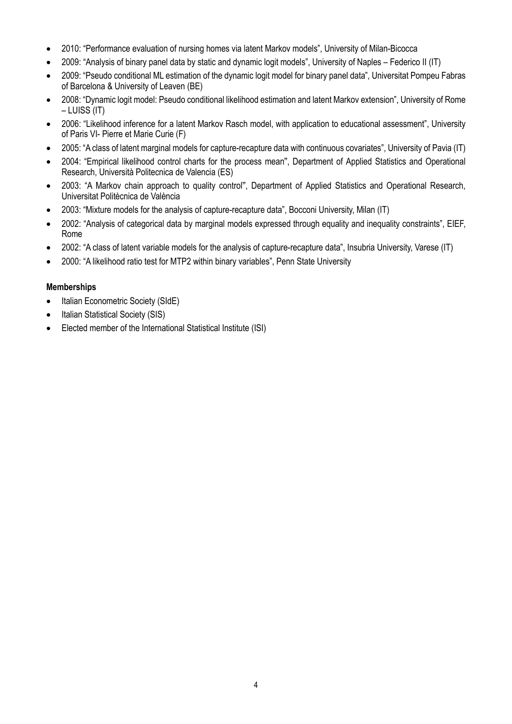- 2010: "Performance evaluation of nursing homes via latent Markov models", University of Milan-Bicocca
- 2009: "Analysis of binary panel data by static and dynamic logit models", University of Naples Federico II (IT)
- 2009: "Pseudo conditional ML estimation of the dynamic logit model for binary panel data", Universitat Pompeu Fabras of Barcelona & University of Leaven (BE)
- 2008: "Dynamic logit model: Pseudo conditional likelihood estimation and latent Markov extension", University of Rome – LUISS (IT)
- 2006: "Likelihood inference for a latent Markov Rasch model, with application to educational assessment", University of Paris VI- Pierre et Marie Curie (F)
- 2005: "A class of latent marginal models for capture-recapture data with continuous covariates", University of Pavia (IT)
- 2004: "Empirical likelihood control charts for the process mean", Department of Applied Statistics and Operational Research, Università Politecnica de Valencia (ES)
- 2003: "A Markov chain approach to quality control", Department of Applied Statistics and Operational Research, Universitat Politècnica de València
- 2003: "Mixture models for the analysis of capture-recapture data", Bocconi University, Milan (IT)
- 2002: "Analysis of categorical data by marginal models expressed through equality and inequality constraints", EIEF, Rome
- 2002: "A class of latent variable models for the analysis of capture-recapture data", Insubria University, Varese (IT)
- 2000: "A likelihood ratio test for MTP2 within binary variables", Penn State University

# **Memberships**

- Italian Econometric Society (SIdE)
- Italian Statistical Society (SIS)
- Elected member of the International Statistical Institute (ISI)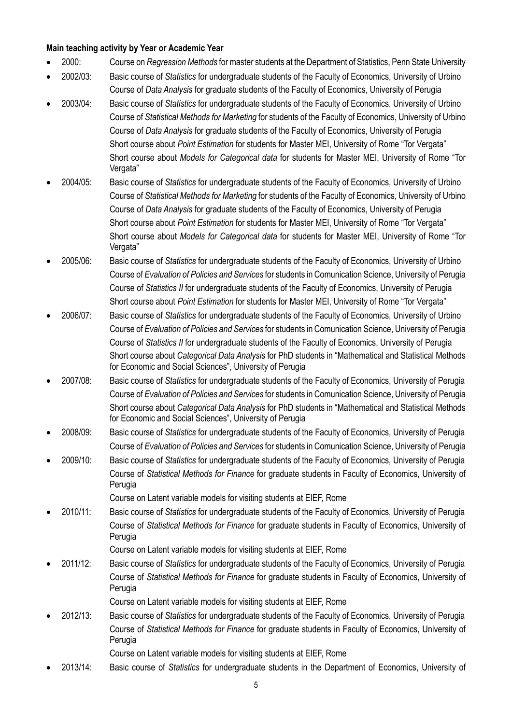# **Main teaching activity by Year or Academic Year**

- 2000: Course on *Regression Methods* for master students at the Department of Statistics, Penn State University
- 2002/03: Basic course of *Statistics* for undergraduate students of the Faculty of Economics, University of Urbino Course of *Data Analysis* for graduate students of the Faculty of Economics, University of Perugia
- 2003/04: Basic course of *Statistics* for undergraduate students of the Faculty of Economics, University of Urbino Course of *Statistical Methods for Marketing* for students of the Faculty of Economics, University of Urbino Course of *Data Analysis* for graduate students of the Faculty of Economics, University of Perugia Short course about *Point Estimation* for students for Master MEI, University of Rome "Tor Vergata" Short course about *Models for Categorical data* for students for Master MEI, University of Rome "Tor Vergata"
- 2004/05: Basic course of *Statistics* for undergraduate students of the Faculty of Economics, University of Urbino Course of *Statistical Methods for Marketing* for students of the Faculty of Economics, University of Urbino Course of *Data Analysis* for graduate students of the Faculty of Economics, University of Perugia Short course about *Point Estimation* for students for Master MEI, University of Rome "Tor Vergata" Short course about *Models for Categorical data* for students for Master MEI, University of Rome "Tor Vergata"
- 2005/06: Basic course of *Statistics* for undergraduate students of the Faculty of Economics, University of Urbino Course of *Evaluation of Policies and Services* for students in Comunication Science, University of Perugia Course of *Statistics II* for undergraduate students of the Faculty of Economics, University of Perugia Short course about *Point Estimation* for students for Master MEI, University of Rome "Tor Vergata"
- 2006/07: Basic course of *Statistics* for undergraduate students of the Faculty of Economics, University of Urbino Course of *Evaluation of Policies and Services* for students in Comunication Science, University of Perugia Course of *Statistics II* for undergraduate students of the Faculty of Economics, University of Perugia Short course about *Categorical Data Analysis* for PhD students in "Mathematical and Statistical Methods for Economic and Social Sciences", University of Perugia
- 2007/08: Basic course of *Statistics* for undergraduate students of the Faculty of Economics, University of Perugia Course of *Evaluation of Policies and Services* for students in Comunication Science, University of Perugia Short course about *Categorical Data Analysis* for PhD students in "Mathematical and Statistical Methods for Economic and Social Sciences", University of Perugia
- 2008/09: Basic course of *Statistics* for undergraduate students of the Faculty of Economics, University of Perugia Course of *Evaluation of Policies and Services* for students in Comunication Science, University of Perugia
- 2009/10: Basic course of *Statistics* for undergraduate students of the Faculty of Economics, University of Perugia Course of *Statistical Methods for Finance* for graduate students in Faculty of Economics, University of Perugia

Course on Latent variable models for visiting students at EIEF, Rome

• 2010/11: Basic course of *Statistics* for undergraduate students of the Faculty of Economics, University of Perugia Course of *Statistical Methods for Finance* for graduate students in Faculty of Economics, University of Perugia

Course on Latent variable models for visiting students at EIEF, Rome

• 2011/12: Basic course of *Statistics* for undergraduate students of the Faculty of Economics, University of Perugia Course of *Statistical Methods for Finance* for graduate students in Faculty of Economics, University of Perugia

Course on Latent variable models for visiting students at EIEF, Rome

• 2012/13: Basic course of *Statistics* for undergraduate students of the Faculty of Economics, University of Perugia Course of *Statistical Methods for Finance* for graduate students in Faculty of Economics, University of Perugia

Course on Latent variable models for visiting students at EIEF, Rome

• 2013/14: Basic course of *Statistics* for undergraduate students in the Department of Economics, University of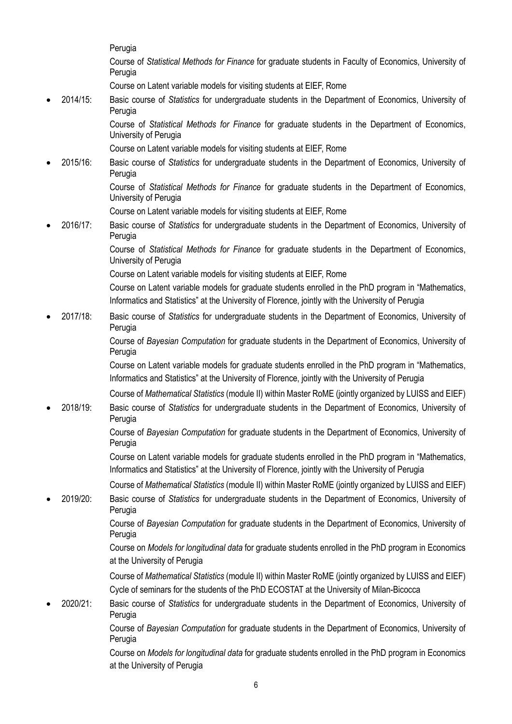Perugia

Course of *Statistical Methods for Finance* for graduate students in Faculty of Economics, University of Perugia

Course on Latent variable models for visiting students at EIEF, Rome

• 2014/15: Basic course of *Statistics* for undergraduate students in the Department of Economics, University of Perugia

> Course of *Statistical Methods for Finance* for graduate students in the Department of Economics, University of Perugia

Course on Latent variable models for visiting students at EIEF, Rome

• 2015/16: Basic course of *Statistics* for undergraduate students in the Department of Economics, University of Perugia

> Course of *Statistical Methods for Finance* for graduate students in the Department of Economics, University of Perugia

- Course on Latent variable models for visiting students at EIEF, Rome
- 2016/17: Basic course of *Statistics* for undergraduate students in the Department of Economics, University of Perugia

Course of *Statistical Methods for Finance* for graduate students in the Department of Economics, University of Perugia

Course on Latent variable models for visiting students at EIEF, Rome

Course on Latent variable models for graduate students enrolled in the PhD program in "Mathematics, Informatics and Statistics" at the University of Florence, jointly with the University of Perugia

• 2017/18: Basic course of *Statistics* for undergraduate students in the Department of Economics, University of Perugia

> Course of *Bayesian Computation* for graduate students in the Department of Economics, University of Perugia

> Course on Latent variable models for graduate students enrolled in the PhD program in "Mathematics, Informatics and Statistics" at the University of Florence, jointly with the University of Perugia

> Course of *Mathematical Statistics* (module II) within Master RoME (jointly organized by LUISS and EIEF)

• 2018/19: Basic course of *Statistics* for undergraduate students in the Department of Economics, University of Perugia

> Course of *Bayesian Computation* for graduate students in the Department of Economics, University of Perugia

> Course on Latent variable models for graduate students enrolled in the PhD program in "Mathematics, Informatics and Statistics" at the University of Florence, jointly with the University of Perugia

Course of *Mathematical Statistics* (module II) within Master RoME (jointly organized by LUISS and EIEF)

• 2019/20: Basic course of *Statistics* for undergraduate students in the Department of Economics, University of Perugia

> Course of *Bayesian Computation* for graduate students in the Department of Economics, University of Perugia

> Course on *Models for longitudinal data* for graduate students enrolled in the PhD program in Economics at the University of Perugia

> Course of *Mathematical Statistics* (module II) within Master RoME (jointly organized by LUISS and EIEF) Cycle of seminars for the students of the PhD ECOSTAT at the University of Milan-Bicocca

• 2020/21: Basic course of *Statistics* for undergraduate students in the Department of Economics, University of Perugia

Course of *Bayesian Computation* for graduate students in the Department of Economics, University of Perugia

Course on *Models for longitudinal data* for graduate students enrolled in the PhD program in Economics at the University of Perugia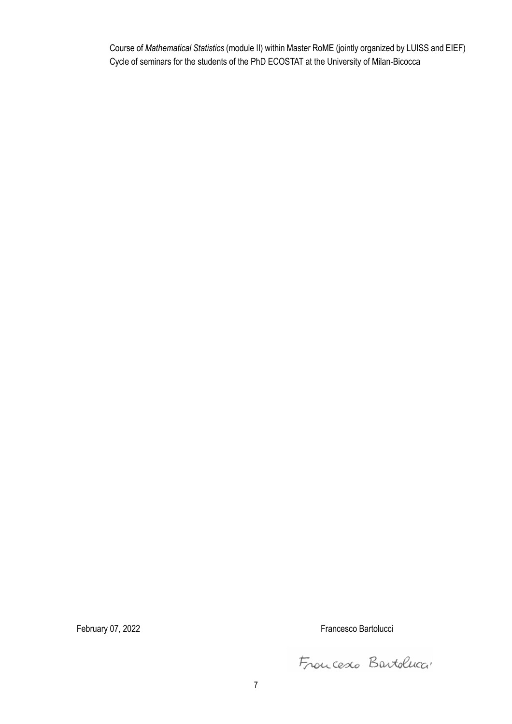Course of *Mathematical Statistics* (module II) within Master RoME (jointly organized by LUISS and EIEF) Cycle of seminars for the students of the PhD ECOSTAT at the University of Milan-Bicocca

February 07, 2022 **Francesco Bartolucci Francesco Bartolucci Francesco Bartolucci** 

Froncesco Bartoluca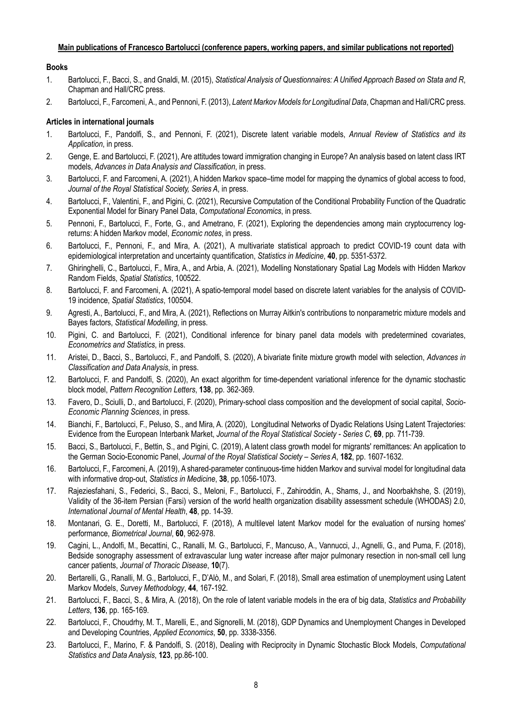#### **Main publications of Francesco Bartolucci (conference papers, working papers, and similar publications not reported)**

#### **Books**

- 1. Bartolucci, F., Bacci, S., and Gnaldi, M. (2015), *Statistical Analysis of Questionnaires: A Unified Approach Based on Stata and R*, Chapman and Hall/CRC press.
- 2. Bartolucci, F., Farcomeni, A., and Pennoni, F. (2013), *Latent Markov Models for Longitudinal Data*, Chapman and Hall/CRC press.

#### **Articles in international journals**

- 1. Bartolucci, F., Pandolfi, S., and Pennoni, F. (2021), Discrete latent variable models, *Annual Review of Statistics and its Application*, in press.
- 2. Genge, E. and Bartolucci, F. (2021), Are attitudes toward immigration changing in Europe? An analysis based on latent class IRT models, *Advances in Data Analysis and Classification*, in press.
- 3. Bartolucci, F. and Farcomeni, A. (2021), A hidden Markov space–time model for mapping the dynamics of global access to food, *Journal of the Royal Statistical Society, Series A*, in press.
- 4. Bartolucci, F., Valentini, F., and Pigini, C. (2021), Recursive Computation of the Conditional Probability Function of the Quadratic Exponential Model for Binary Panel Data, *Computational Economics*, in press.
- 5. Pennoni, F., Bartolucci, F., Forte, G., and Ametrano, F. (2021), Exploring the dependencies among main cryptocurrency logreturns: A hidden Markov model, *Economic notes*, in press.
- 6. Bartolucci, F., Pennoni, F., and Mira, A. (2021), A multivariate statistical approach to predict COVID-19 count data with epidemiological interpretation and uncertainty quantification, *Statistics in Medicine*, **40**, pp. 5351-5372.
- 7. Ghiringhelli, C., Bartolucci, F., Mira, A., and Arbia, A. (2021), Modelling Nonstationary Spatial Lag Models with Hidden Markov Random Fields, *Spatial Statistics*, 100522.
- 8. Bartolucci, F. and Farcomeni, A. (2021), A spatio-temporal model based on discrete latent variables for the analysis of COVID-19 incidence, *Spatial Statistics*, 100504.
- 9. Agresti, A., Bartolucci, F., and Mira, A. (2021), Reflections on Murray Aitkin's contributions to nonparametric mixture models and Bayes factors, *Statistical Modelling*, in press.
- 10. Pigini, C. and Bartolucci, F. (2021), Conditional inference for binary panel data models with predetermined covariates, *Econometrics and Statistics*, in press.
- 11. Aristei, D., Bacci, S., Bartolucci, F., and Pandolfi, S. (2020), A bivariate finite mixture growth model with selection, *Advances in Classification and Data Analysis*, in press.
- 12. Bartolucci, F. and Pandolfi, S. (2020), An exact algorithm for time-dependent variational inference for the dynamic stochastic block model, *Pattern Recognition Letters*, **138**, pp. 362-369.
- 13. Favero, D., Sciulli, D., and Bartolucci, F. (2020), Primary-school class composition and the development of social capital, *Socio-Economic Planning Sciences*, in press.
- 14. Bianchi, F., Bartolucci, F., Peluso, S., and Mira, A. (2020), Longitudinal Networks of Dyadic Relations Using Latent Trajectories: Evidence from the European Interbank Market, *Journal of the Royal Statistical Society - Series C*, **69**, pp. 711-739.
- 15. Bacci, S., Bartolucci, F., Bettin, S., and Pigini, C. (2019), A latent class growth model for migrants' remittances: An application to the German Socio-Economic Panel, *Journal of the Royal Statistical Society – Series A*, **182**, pp. 1607-1632.
- 16. Bartolucci, F., Farcomeni, A. (2019), A shared-parameter continuous-time hidden Markov and survival model for longitudinal data with informative drop-out, *Statistics in Medicine*, **38**, pp.1056-1073.
- 17. Rajeziesfahani, S., Federici, S., Bacci, S., Meloni, F., Bartolucci, F., Zahiroddin, A., Shams, J., and Noorbakhshe, S. (2019), Validity of the 36-item Persian (Farsi) version of the world health organization disability assessment schedule (WHODAS) 2.0, *International Journal of Mental Health*, **48**, pp. 14-39.
- 18. Montanari, G. E., Doretti, M., Bartolucci, F. (2018), A multilevel latent Markov model for the evaluation of nursing homes' performance, *Biometrical Journal*, **60**, 962-978.
- 19. Cagini, L., Andolfi, M., Becattini, C., Ranalli, M. G., Bartolucci, F., Mancuso, A., Vannucci, J., Agnelli, G., and Puma, F. (2018), Bedside sonography assessment of extravascular lung water increase after major pulmonary resection in non-small cell lung cancer patients, *Journal of Thoracic Disease*, **10**(7).
- 20. Bertarelli, G., Ranalli, M. G., Bartolucci, F., D'Alò, M., and Solari, F. (2018), Small area estimation of unemployment using Latent Markov Models, *Survey Methodology*, **44**, 167-192.
- 21. Bartolucci, F., Bacci, S., & Mira, A. (2018), On the role of latent variable models in the era of big data, *Statistics and Probability Letters*, **136**, pp. 165-169.
- 22. Bartolucci, F., Choudrhy, M. T., Marelli, E., and Signorelli, M. (2018), GDP Dynamics and Unemployment Changes in Developed and Developing Countries, *Applied Economics*, **50**, pp. 3338-3356.
- 23. Bartolucci, F., Marino, F. & Pandolfi, S. (2018), Dealing with Reciprocity in Dynamic Stochastic Block Models, *Computational Statistics and Data Analysis*, **123**, pp.86-100.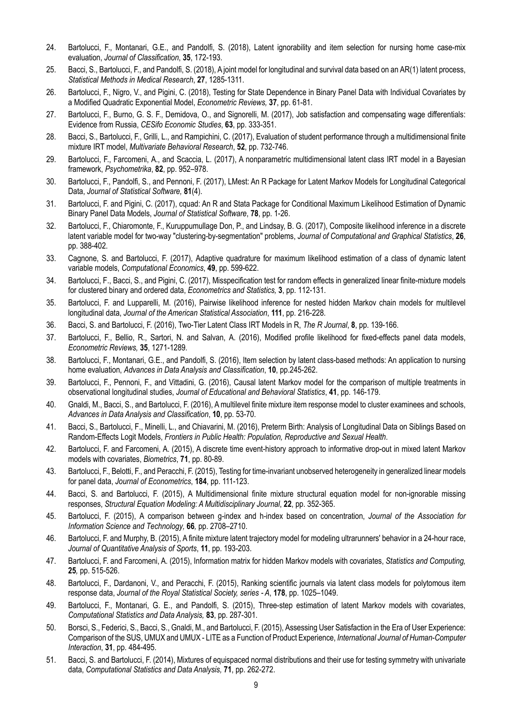- 24. Bartolucci, F., Montanari, G.E., and Pandolfi, S. (2018), Latent ignorability and item selection for nursing home case-mix evaluation, *Journal of Classification*, **35**, 172-193.
- 25. Bacci, S., Bartolucci, F., and Pandolfi, S. (2018), A joint model for longitudinal and survival data based on an AR(1) latent process, *Statistical Methods in Medical Research*, **27**, 1285-1311.
- 26. Bartolucci, F., Nigro, V., and Pigini, C. (2018), Testing for State Dependence in Binary Panel Data with Individual Covariates by a Modified Quadratic Exponential Model, *Econometric Reviews,* **37**, pp. 61-81.
- 27. Bartolucci, F., Burno, G. S. F., Demidova, O., and Signorelli, M. (2017), Job satisfaction and compensating wage differentials: Evidence from Russia, *CESifo Economic Studies*, **63**, pp. 333-351.
- 28. Bacci, S., Bartolucci, F., Grilli, L., and Rampichini, C. (2017), Evaluation of student performance through a multidimensional finite mixture IRT model, *Multivariate Behavioral Research*, **52**, pp. 732-746.
- 29. Bartolucci, F., Farcomeni, A., and Scaccia, L. (2017), A nonparametric multidimensional latent class IRT model in a Bayesian framework, *Psychometrika*, **82**, pp. 952–978.
- 30. Bartolucci, F., Pandolfi, S., and Pennoni, F. (2017), LMest: An R Package for Latent Markov Models for Longitudinal Categorical Data, *Journal of Statistical Software,* **81**(4).
- 31. Bartolucci, F. and Pigini, C. (2017), cquad: An R and Stata Package for Conditional Maximum Likelihood Estimation of Dynamic Binary Panel Data Models, *Journal of Statistical Software*, **78**, pp. 1-26.
- 32. Bartolucci, F., Chiaromonte, F., Kuruppumullage Don, P., and Lindsay, B. G. (2017), Composite likelihood inference in a discrete latent variable model for two-way "clustering-by-segmentation" problems, *Journal of Computational and Graphical Statistics*, **26**, pp. 388-402.
- 33. Cagnone, S. and Bartolucci, F. (2017), Adaptive quadrature for maximum likelihood estimation of a class of dynamic latent variable models, *Computational Economics*, **49**, pp. 599-622.
- 34. Bartolucci, F., Bacci, S., and Pigini, C. (2017), Misspecification test for random effects in generalized linear finite-mixture models for clustered binary and ordered data, *Econometrics and Statistics,* **3**, pp. 112-131.
- 35. Bartolucci, F. and Lupparelli, M. (2016), Pairwise likelihood inference for nested hidden Markov chain models for multilevel longitudinal data, *Journal of the American Statistical Association*, **111**, pp. 216-228.
- 36. Bacci, S. and Bartolucci, F. (2016), Two-Tier Latent Class IRT Models in R, *The R Journal*, **8**, pp. 139-166.
- 37. Bartolucci, F., Bellio, R., Sartori, N. and Salvan, A. (2016), Modified profile likelihood for fixed-effects panel data models, *Econometric Reviews,* **35**, 1271-1289*.*
- 38. Bartolucci, F., Montanari, G.E., and Pandolfi, S. (2016), Item selection by latent class-based methods: An application to nursing home evaluation, *Advances in Data Analysis and Classification*, **10**, pp.245-262.
- 39. Bartolucci, F., Pennoni, F., and Vittadini, G. (2016), Causal latent Markov model for the comparison of multiple treatments in observational longitudinal studies, *Journal of Educational and Behavioral Statistics*, **41**, pp. 146-179.
- 40. Gnaldi, M., Bacci, S., and Bartolucci, F. (2016), A multilevel finite mixture item response model to cluster examinees and schools, *Advances in Data Analysis and Classification*, **10**, pp. 53-70.
- 41. Bacci, S., Bartolucci, F., Minelli, L., and Chiavarini, M. (2016), Preterm Birth: Analysis of Longitudinal Data on Siblings Based on Random-Effects Logit Models, *Frontiers in Public Health: Population, Reproductive and Sexual Health*.
- 42. Bartolucci, F. and Farcomeni, A. (2015), A discrete time event-history approach to informative drop-out in mixed latent Markov models with covariates, *Biometrics*, **71**, pp. 80-89.
- 43. Bartolucci, F., Belotti, F., and Peracchi, F. (2015), Testing for time-invariant unobserved heterogeneity in generalized linear models for panel data, *Journal of Econometrics*, **184**, pp. 111-123.
- 44. Bacci, S. and Bartolucci, F. (2015), A Multidimensional finite mixture structural equation model for non-ignorable missing responses, *Structural Equation Modeling: A Multidisciplinary Journal*, **22**, pp. 352-365.
- 45. Bartolucci, F. (2015), A comparison between g-index and h-index based on concentration, *Journal of the Association for Information Science and Technology,* **66***,* pp. 2708–2710.
- 46. Bartolucci, F. and Murphy, B. (2015), A finite mixture latent trajectory model for modeling ultrarunners' behavior in a 24-hour race, *Journal of Quantitative Analysis of Sports*, **11**, pp. 193-203.
- 47. Bartolucci, F. and Farcomeni, A. (2015), Information matrix for hidden Markov models with covariates, *Statistics and Computing,*  **25***,* pp. 515-526.
- 48. Bartolucci, F., Dardanoni, V., and Peracchi, F. (2015), Ranking scientific journals via latent class models for polytomous item response data, *Journal of the Royal Statistical Society, series - A*, **178**, pp. 1025–1049.
- 49. Bartolucci, F., Montanari, G. E., and Pandolfi, S. (2015), Three-step estimation of latent Markov models with covariates, *Computational Statistics and Data Analysis,* **83**, pp. 287-301.
- 50. Borsci, S., Federici, S., Bacci, S., Gnaldi, M., and Bartolucci, F. (2015), Assessing User Satisfaction in the Era of User Experience: Comparison of the SUS, UMUX and UMUX - LITE as a Function of Product Experience, *International Journal of Human-Computer Interaction*, **31**, pp. 484-495.
- 51. Bacci, S. and Bartolucci, F. (2014), Mixtures of equispaced normal distributions and their use for testing symmetry with univariate data, *Computational Statistics and Data Analysis,* **71**, pp. 262-272.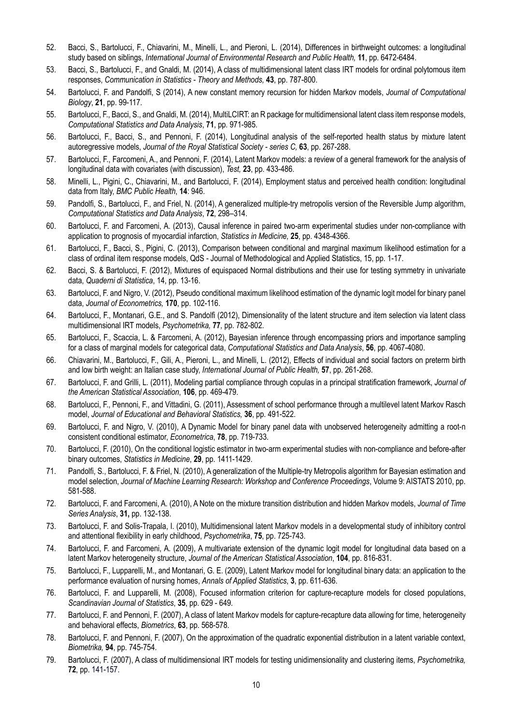- 52. Bacci, S., Bartolucci, F., Chiavarini, M., Minelli, L., and Pieroni, L. (2014), Differences in birthweight outcomes: a longitudinal study based on siblings, *International Journal of Environmental Research and Public Health,* **11**, pp. 6472-6484.
- 53. Bacci, S., Bartolucci, F., and Gnaldi, M. (2014), A class of multidimensional latent class IRT models for ordinal polytomous item responses, *Communication in Statistics - Theory and Methods,* **43**, pp. 787-800.
- 54. Bartolucci, F. and Pandolfi, S (2014), A new constant memory recursion for hidden Markov models, *Journal of Computational Biology*, **21**, pp. 99-117.
- 55. Bartolucci, F., Bacci, S., and Gnaldi, M. (2014), MultiLCIRT: an R package for multidimensional latent class item response models, *Computational Statistics and Data Analysis*, **71**, pp. 971-985.
- 56. Bartolucci, F., Bacci, S., and Pennoni, F. (2014), Longitudinal analysis of the self-reported health status by mixture latent autoregressive models, *Journal of the Royal Statistical Society - series C,* **63**, pp. 267-288.
- 57. Bartolucci, F., Farcomeni, A., and Pennoni, F. (2014), Latent Markov models: a review of a general framework for the analysis of longitudinal data with covariates (with discussion), *Test,* **23**, pp. 433-486.
- 58. Minelli, L., Pigini, C., Chiavarini, M., and Bartolucci, F. (2014), Employment status and perceived health condition: longitudinal data from Italy, *BMC Public Health*, **14**: 946.
- 59. Pandolfi, S., Bartolucci, F., and Friel, N. (2014), A generalized multiple-try metropolis version of the Reversible Jump algorithm, *Computational Statistics and Data Analysis*, **72**, 298–314.
- 60. Bartolucci, F. and Farcomeni, A. (2013), Causal inference in paired two-arm experimental studies under non-compliance with application to prognosis of myocardial infarction, *Statistics in Medicine,* **25**, pp. 4348-4366.
- 61. Bartolucci, F., Bacci, S., Pigini, C. (2013), Comparison between conditional and marginal maximum likelihood estimation for a class of ordinal item response models, QdS - Journal of Methodological and Applied Statistics, 15, pp. 1-17.
- 62. Bacci, S. & Bartolucci, F. (2012), Mixtures of equispaced Normal distributions and their use for testing symmetry in univariate data, *Quaderni di Statistica*, 14, pp. 13-16.
- 63. Bartolucci, F. and Nigro, V. (2012), Pseudo conditional maximum likelihood estimation of the dynamic logit model for binary panel data, *Journal of Econometrics,* **170**, pp. 102-116.
- 64. Bartolucci, F., Montanari, G.E., and S. Pandolfi (2012), Dimensionality of the latent structure and item selection via latent class multidimensional IRT models, *Psychometrika,* **77***,* pp. 782-802.
- 65. Bartolucci, F., Scaccia, L. & Farcomeni, A. (2012), Bayesian inference through encompassing priors and importance sampling for a class of marginal models for categorical data, *Computational Statistics and Data Analysis*, **56**, pp. 4067-4080.
- 66. Chiavarini, M., Bartolucci, F., Gili, A., Pieroni, L., and Minelli, L. (2012), Effects of individual and social factors on preterm birth and low birth weight: an Italian case study, *International Journal of Public Health,* **57**, pp. 261-268.
- 67. Bartolucci, F. and Grilli, L. (2011), Modeling partial compliance through copulas in a principal stratification framework, *Journal of the American Statistical Association*, **106**, pp. 469-479.
- 68. Bartolucci, F., Pennoni, F., and Vittadini, G. (2011), Assessment of school performance through a multilevel latent Markov Rasch model, *Journal of Educational and Behavioral Statistics,* **36**, pp. 491-522.
- 69. Bartolucci, F. and Nigro, V. (2010), A Dynamic Model for binary panel data with unobserved heterogeneity admitting a root-n consistent conditional estimator, *Econometrica*, **78**, pp. 719-733.
- 70. Bartolucci, F. (2010), On the conditional logistic estimator in two-arm experimental studies with non-compliance and before-after binary outcomes, *Statistics in Medicine*, **29**, pp. 1411-1429.
- 71. Pandolfi, S., Bartolucci, F. & Friel, N. (2010), A generalization of the Multiple-try Metropolis algorithm for Bayesian estimation and model selection, *Journal of Machine Learning Research: Workshop and Conference Proceedings*, Volume 9: AISTATS 2010, pp. 581-588.
- 72. Bartolucci, F. and Farcomeni, A. (2010), A Note on the mixture transition distribution and hidden Markov models, *Journal of Time Series Analysis*, **31,** pp. 132-138.
- 73. Bartolucci, F. and Solis-Trapala, I. (2010), Multidimensional latent Markov models in a developmental study of inhibitory control and attentional flexibility in early childhood, *Psychometrika*, **75**, pp. 725-743.
- 74. Bartolucci, F. and Farcomeni, A. (2009), A multivariate extension of the dynamic logit model for longitudinal data based on a latent Markov heterogeneity structure, *Journal of the American Statistical Association*, **104**, pp. 816-831.
- 75. Bartolucci, F., Lupparelli, M., and Montanari, G. E. (2009), Latent Markov model for longitudinal binary data: an application to the performance evaluation of nursing homes, *Annals of Applied Statistics*, **3**, pp. 611-636.
- 76. Bartolucci, F. and Lupparelli, M. (2008), Focused information criterion for capture-recapture models for closed populations, *Scandinavian Journal of Statistics*, **35**, pp. 629 - 649*.*
- 77. Bartolucci, F. and Pennoni, F. (2007), A class of latent Markov models for capture-recapture data allowing for time, heterogeneity and behavioral effects, *Biometrics*, **63**, pp. 568-578.
- 78. Bartolucci, F. and Pennoni, F. (2007), On the approximation of the quadratic exponential distribution in a latent variable context, *Biometrika,* **94**, pp. 745-754.
- 79. Bartolucci, F. (2007), A class of multidimensional IRT models for testing unidimensionality and clustering items, *Psychometrika,* **72**, pp. 141-157.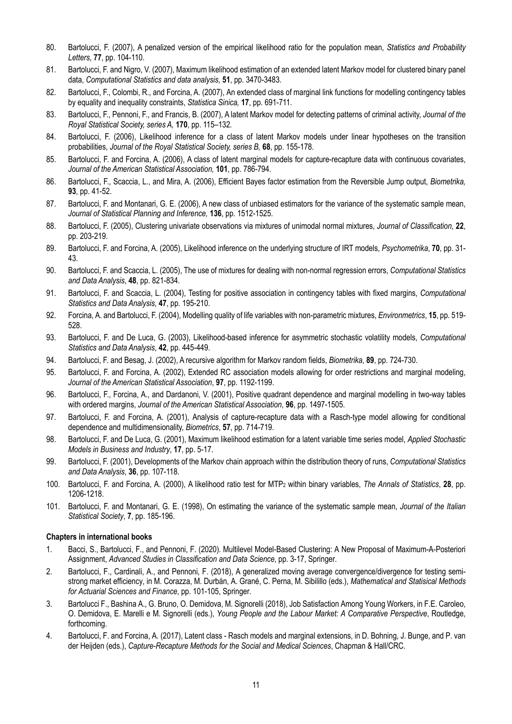- 80. Bartolucci, F. (2007), A penalized version of the empirical likelihood ratio for the population mean, *Statistics and Probability Letters*, **77**, pp. 104-110.
- 81. Bartolucci, F. and Nigro, V. (2007), Maximum likelihood estimation of an extended latent Markov model for clustered binary panel data, *Computational Statistics and data analysis,* **51**, pp. 3470-3483.
- 82. Bartolucci, F., Colombi, R., and Forcina, A. (2007), An extended class of marginal link functions for modelling contingency tables by equality and inequality constraints, *Statistica Sinica,* **17**, pp. 691-711.
- 83. Bartolucci, F., Pennoni, F., and Francis, B. (2007), A latent Markov model for detecting patterns of criminal activity, *Journal of the Royal Statistical Society, series A,* **170**, pp. 115–132*.*
- 84. Bartolucci, F. (2006), Likelihood inference for a class of latent Markov models under linear hypotheses on the transition probabilities, *Journal of the Royal Statistical Society, series B,* **68**, pp. 155-178*.*
- 85. Bartolucci, F. and Forcina, A. (2006), A class of latent marginal models for capture-recapture data with continuous covariates, *Journal of the American Statistical Association,* **101**, pp. 786-794.
- 86. Bartolucci, F., Scaccia, L., and Mira, A. (2006), Efficient Bayes factor estimation from the Reversible Jump output, *Biometrika,* **93**, pp. 41-52.
- 87. Bartolucci, F. and Montanari, G. E. (2006), A new class of unbiased estimators for the variance of the systematic sample mean, *Journal of Statistical Planning and Inference,* **136**, pp. 1512-1525.
- 88. Bartolucci, F. (2005), Clustering univariate observations via mixtures of unimodal normal mixtures, *Journal of Classification,* **22**, pp. 203-219.
- 89. Bartolucci, F. and Forcina, A. (2005), Likelihood inference on the underlying structure of IRT models, *Psychometrika*, **70**, pp. 31- 43.
- 90. Bartolucci, F. and Scaccia, L. (2005), The use of mixtures for dealing with non-normal regression errors, *Computational Statistics and Data Analysis*, **48**, pp. 821-834.
- 91. Bartolucci, F. and Scaccia, L. (2004), Testing for positive association in contingency tables with fixed margins, *Computational Statistics and Data Analysis*, **47**, pp. 195-210.
- 92. Forcina, A. and Bartolucci, F. (2004), Modelling quality of life variables with non-parametric mixtures, *Environmetrics*, **15**, pp. 519- 528.
- 93. Bartolucci, F. and De Luca, G. (2003), Likelihood-based inference for asymmetric stochastic volatility models, *Computational Statistics and Data Analysis*, **42**, pp. 445-449.
- 94. Bartolucci, F. and Besag, J. (2002), A recursive algorithm for Markov random fields, *Biometrika*, **89**, pp. 724-730.
- 95. Bartolucci, F. and Forcina, A. (2002), Extended RC association models allowing for order restrictions and marginal modeling, *Journal of the American Statistical Association*, **97**, pp. 1192-1199.
- 96. Bartolucci, F., Forcina, A., and Dardanoni, V. (2001), Positive quadrant dependence and marginal modelling in two-way tables with ordered margins, *Journal of the American Statistical Association*, **96**, pp. 1497-1505.
- 97. Bartolucci, F. and Forcina, A. (2001), Analysis of capture-recapture data with a Rasch-type model allowing for conditional dependence and multidimensionality, *Biometrics*, **57**, pp. 714-719.
- 98. Bartolucci, F. and De Luca, G. (2001), Maximum likelihood estimation for a latent variable time series model, *Applied Stochastic Models in Business and Industry*, **17**, pp. 5-17.
- 99. Bartolucci, F. (2001), Developments of the Markov chain approach within the distribution theory of runs, *Computational Statistics and Data Analysis*, **36**, pp. 107-118.
- 100. Bartolucci, F. and Forcina, A. (2000), A likelihood ratio test for MTP2 within binary variables, *The Annals of Statistics*, **28**, pp. 1206-1218.
- 101. Bartolucci, F. and Montanari, G. E. (1998), On estimating the variance of the systematic sample mean, *Journal of the Italian Statistical Society*, **7**, pp. 185-196.

#### **Chapters in international books**

- 1. Bacci, S., Bartolucci, F., and Pennoni, F. (2020). Multilevel Model-Based Clustering: A New Proposal of Maximum-A-Posteriori Assignment, *Advanced Studies in Classification and Data Science*, pp. 3-17, Springer.
- 2. Bartolucci, F., Cardinali, A., and Pennoni, F. (2018), A generalized moving average convergence/divergence for testing semistrong market efficiency, in M. Corazza, M. Durbán, A. Grané, C. Perna, M. Sibilillo (eds.), *Mathematical and Statisical Methods for Actuarial Sciences and Finance*, pp. 101-105, Springer.
- 3. Bartolucci F., Bashina A., G. Bruno, O. Demidova, M. Signorelli (2018), Job Satisfaction Among Young Workers, in F.E. Caroleo, O. Demidova, E. Marelli e M. Signorelli (eds.), *Young People and the Labour Market: A Comparative Perspective*, Routledge, forthcoming.
- 4. Bartolucci, F. and Forcina, A. (2017), Latent class Rasch models and marginal extensions, in D. Bohning, J. Bunge, and P. van der Heijden (eds.), *Capture-Recapture Methods for the Social and Medical Sciences*, Chapman & Hall/CRC.